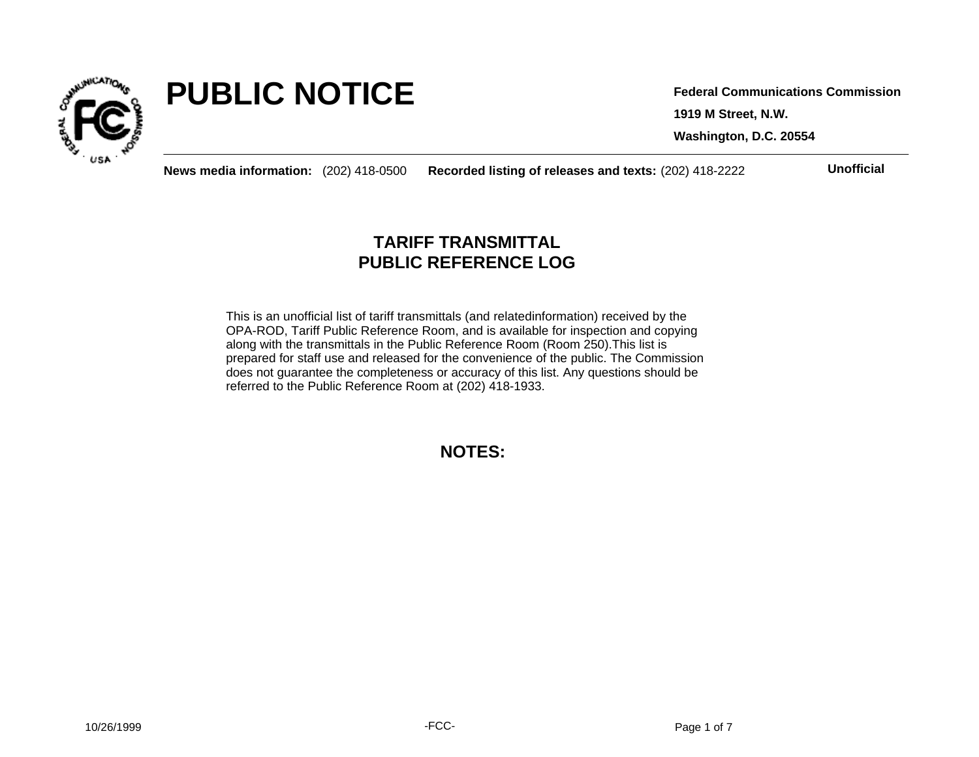

# **PUBLIC NOTICE**

**1919 M Street, N.W. Washington, D.C. 20554 Federal Communications Commission**

**News media information:** (202) 418-0500 **Recorded listing of releases and texts:** (202) 418-2222 **Unofficial**

## **TARIFF TRANSMITTAL PUBLIC REFERENCE LOG**

This is an unofficial list of tariff transmittals (and relatedinformation) received by the OPA-ROD, Tariff Public Reference Room, and is available for inspection and copying along with the transmittals in the Public Reference Room (Room 250).This list is prepared for staff use and released for the convenience of the public. The Commission does not guarantee the completeness or accuracy of this list. Any questions should be referred to the Public Reference Room at (202) 418-1933.

**NOTES:**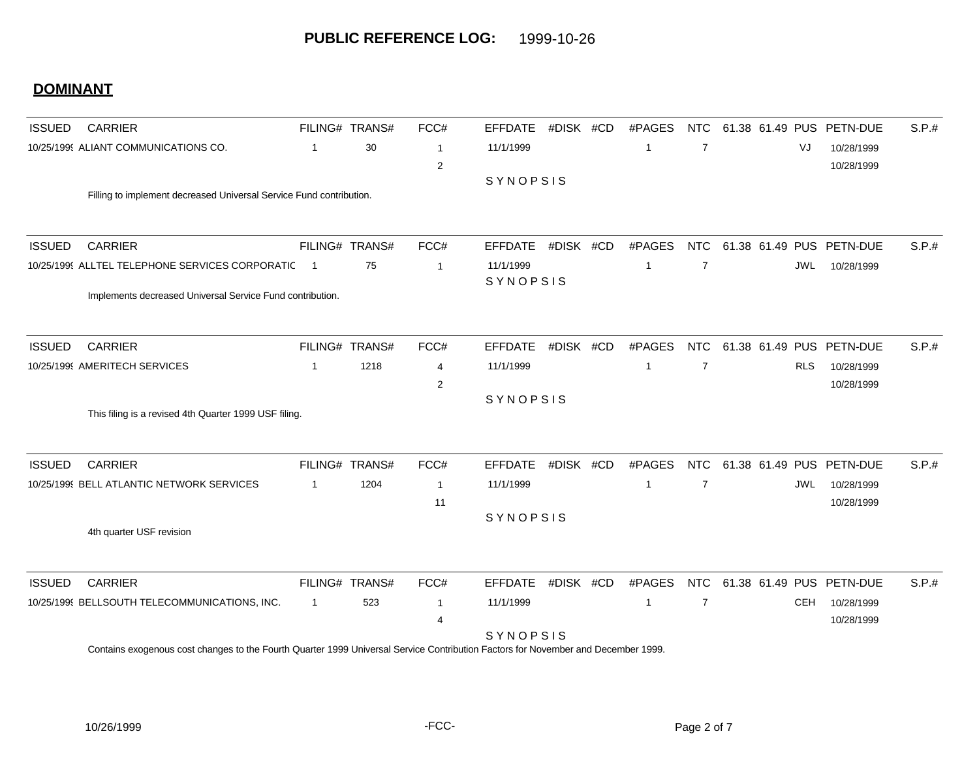| <b>ISSUED</b> | <b>CARRIER</b>                                                      |                          | FILING# TRANS# | FCC#           | <b>EFFDATE</b>  | #DISK #CD | #PAGES         | <b>NTC</b>     | 61.38 61.49 PUS | <b>PETN-DUE</b>          | S.P.# |
|---------------|---------------------------------------------------------------------|--------------------------|----------------|----------------|-----------------|-----------|----------------|----------------|-----------------|--------------------------|-------|
|               | 10/25/1999 ALIANT COMMUNICATIONS CO.                                | 1                        | 30             | -1             | 11/1/1999       |           | -1             | $\overline{7}$ |                 | VJ<br>10/28/1999         |       |
|               |                                                                     |                          |                | $\overline{2}$ |                 |           |                |                |                 | 10/28/1999               |       |
|               |                                                                     |                          |                |                | SYNOPSIS        |           |                |                |                 |                          |       |
|               | Filling to implement decreased Universal Service Fund contribution. |                          |                |                |                 |           |                |                |                 |                          |       |
|               |                                                                     |                          |                |                |                 |           |                |                |                 |                          |       |
| <b>ISSUED</b> | <b>CARRIER</b>                                                      |                          | FILING# TRANS# | FCC#           | <b>EFFDATE</b>  | #DISK #CD | #PAGES         | <b>NTC</b>     |                 | 61.38 61.49 PUS PETN-DUE | S.P.# |
|               | 10/25/1999 ALLTEL TELEPHONE SERVICES CORPORATIC                     | $\overline{\mathbf{1}}$  | 75             | $\overline{1}$ | 11/1/1999       |           | -1             | $\overline{7}$ |                 | <b>JWL</b><br>10/28/1999 |       |
|               |                                                                     |                          |                |                | SYNOPSIS        |           |                |                |                 |                          |       |
|               | Implements decreased Universal Service Fund contribution.           |                          |                |                |                 |           |                |                |                 |                          |       |
| <b>ISSUED</b> | <b>CARRIER</b>                                                      |                          | FILING# TRANS# | FCC#           | <b>EFFDATE</b>  | #DISK #CD | #PAGES         | <b>NTC</b>     |                 | 61.38 61.49 PUS PETN-DUE | S.P.# |
|               | 10/25/1999 AMERITECH SERVICES                                       | $\overline{\phantom{a}}$ | 1218           | 4              | 11/1/1999       |           | -1             | $\overline{7}$ |                 | <b>RLS</b><br>10/28/1999 |       |
|               |                                                                     |                          |                | $\overline{2}$ |                 |           |                |                |                 | 10/28/1999               |       |
|               |                                                                     |                          |                |                | <b>SYNOPSIS</b> |           |                |                |                 |                          |       |
|               | This filing is a revised 4th Quarter 1999 USF filing.               |                          |                |                |                 |           |                |                |                 |                          |       |
| <b>ISSUED</b> | <b>CARRIER</b>                                                      |                          | FILING# TRANS# | FCC#           | <b>EFFDATE</b>  | #DISK #CD | #PAGES         | <b>NTC</b>     |                 | 61.38 61.49 PUS PETN-DUE | S.P.# |
|               | 10/25/1999 BELL ATLANTIC NETWORK SERVICES                           | -1                       | 1204           | -1             | 11/1/1999       |           | -1             | $\overline{7}$ |                 | 10/28/1999<br><b>JWL</b> |       |
|               |                                                                     |                          |                | 11             |                 |           |                |                |                 | 10/28/1999               |       |
|               |                                                                     |                          |                |                | SYNOPSIS        |           |                |                |                 |                          |       |
|               | 4th quarter USF revision                                            |                          |                |                |                 |           |                |                |                 |                          |       |
| <b>ISSUED</b> | <b>CARRIER</b>                                                      |                          | FILING# TRANS# | FCC#           | <b>EFFDATE</b>  | #DISK #CD | #PAGES         | <b>NTC</b>     |                 | 61.38 61.49 PUS PETN-DUE | S.P.# |
|               | 10/25/1999 BELLSOUTH TELECOMMUNICATIONS, INC.                       | $\overline{1}$           | 523            | -1             | 11/1/1999       |           | $\overline{1}$ | $\overline{7}$ |                 | <b>CEH</b><br>10/28/1999 |       |
|               |                                                                     |                          |                | 4              |                 |           |                |                |                 | 10/28/1999               |       |
|               |                                                                     |                          |                |                | SYNOPSIS        |           |                |                |                 |                          |       |

Contains exogenous cost changes to the Fourth Quarter 1999 Universal Service Contribution Factors for November and December 1999.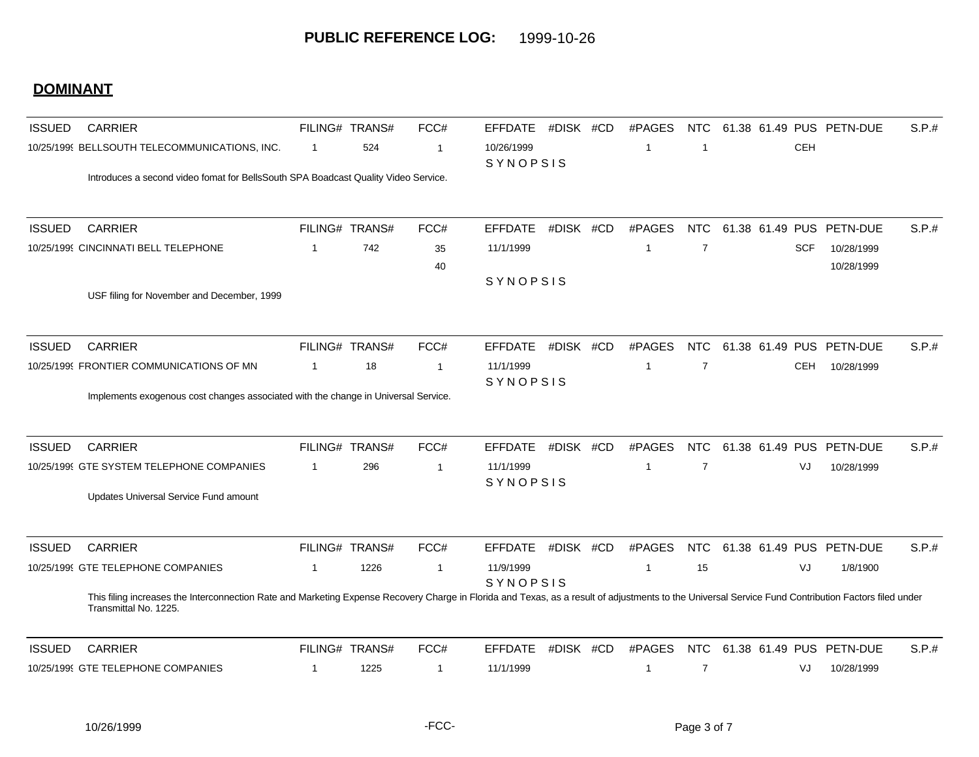| <b>ISSUED</b> | <b>CARRIER</b>                                                                                                                                                                                                                |              | FILING# TRANS# | FCC#           | <b>EFFDATE</b>               | #DISK #CD | #PAGES       | <b>NTC</b>     |            | 61.38 61.49 PUS PETN-DUE | S.P.# |
|---------------|-------------------------------------------------------------------------------------------------------------------------------------------------------------------------------------------------------------------------------|--------------|----------------|----------------|------------------------------|-----------|--------------|----------------|------------|--------------------------|-------|
|               | 10/25/1999 BELLSOUTH TELECOMMUNICATIONS, INC.                                                                                                                                                                                 | $\mathbf{1}$ | 524            | -1             | 10/26/1999<br>SYNOPSIS       |           | -1           | $\overline{1}$ | <b>CEH</b> |                          |       |
|               | Introduces a second video fomat for BellsSouth SPA Boadcast Quality Video Service.                                                                                                                                            |              |                |                |                              |           |              |                |            |                          |       |
| <b>ISSUED</b> | <b>CARRIER</b>                                                                                                                                                                                                                |              | FILING# TRANS# | FCC#           | <b>EFFDATE</b>               | #DISK #CD | #PAGES       | <b>NTC</b>     |            | 61.38 61.49 PUS PETN-DUE | S.P.# |
|               | 10/25/1999 CINCINNATI BELL TELEPHONE                                                                                                                                                                                          | $\mathbf 1$  | 742            | 35             | 11/1/1999                    |           | -1           | $\overline{7}$ | <b>SCF</b> | 10/28/1999               |       |
|               |                                                                                                                                                                                                                               |              |                | 40             |                              |           |              |                |            | 10/28/1999               |       |
|               | USF filing for November and December, 1999                                                                                                                                                                                    |              |                |                | SYNOPSIS                     |           |              |                |            |                          |       |
| <b>ISSUED</b> | <b>CARRIER</b>                                                                                                                                                                                                                |              | FILING# TRANS# | FCC#           | <b>EFFDATE</b>               | #DISK #CD | #PAGES       | <b>NTC</b>     |            | 61.38 61.49 PUS PETN-DUE | S.P.# |
|               | 10/25/1999 FRONTIER COMMUNICATIONS OF MN                                                                                                                                                                                      | $\mathbf 1$  | 18             | $\overline{1}$ | 11/1/1999                    |           | -1           | $\overline{7}$ | <b>CEH</b> | 10/28/1999               |       |
|               | Implements exogenous cost changes associated with the change in Universal Service.                                                                                                                                            |              |                |                | SYNOPSIS                     |           |              |                |            |                          |       |
| <b>ISSUED</b> | <b>CARRIER</b>                                                                                                                                                                                                                |              | FILING# TRANS# | FCC#           | <b>EFFDATE</b>               | #DISK #CD | #PAGES       | <b>NTC</b>     |            | 61.38 61.49 PUS PETN-DUE | S.P.# |
|               | 10/25/1999 GTE SYSTEM TELEPHONE COMPANIES                                                                                                                                                                                     | $\mathbf{1}$ | 296            | -1             | 11/1/1999                    |           | -1           | $\overline{7}$ | VJ         | 10/28/1999               |       |
|               | Updates Universal Service Fund amount                                                                                                                                                                                         |              |                |                | SYNOPSIS                     |           |              |                |            |                          |       |
| <b>ISSUED</b> | <b>CARRIER</b>                                                                                                                                                                                                                |              | FILING# TRANS# | FCC#           | <b>EFFDATE</b>               | #DISK #CD | #PAGES       | <b>NTC</b>     |            | 61.38 61.49 PUS PETN-DUE | S.P.# |
|               | 10/25/1999 GTE TELEPHONE COMPANIES                                                                                                                                                                                            | 1            | 1226           | -1             | 11/9/1999<br><b>SYNOPSIS</b> |           | -1           | 15             | VJ         | 1/8/1900                 |       |
|               | This filing increases the Interconnection Rate and Marketing Expense Recovery Charge in Florida and Texas, as a result of adjustments to the Universal Service Fund Contribution Factors filed under<br>Transmittal No. 1225. |              |                |                |                              |           |              |                |            |                          |       |
| <b>ISSUED</b> | <b>CARRIER</b>                                                                                                                                                                                                                |              | FILING# TRANS# | FCC#           | <b>EFFDATE</b>               | #DISK #CD | #PAGES       | <b>NTC</b>     |            | 61.38 61.49 PUS PETN-DUE | S.P.# |
|               | 10/25/1999 GTE TELEPHONE COMPANIES                                                                                                                                                                                            | $\mathbf{1}$ | 1225           | $\mathbf{1}$   | 11/1/1999                    |           | $\mathbf{1}$ | $\overline{7}$ | VJ         | 10/28/1999               |       |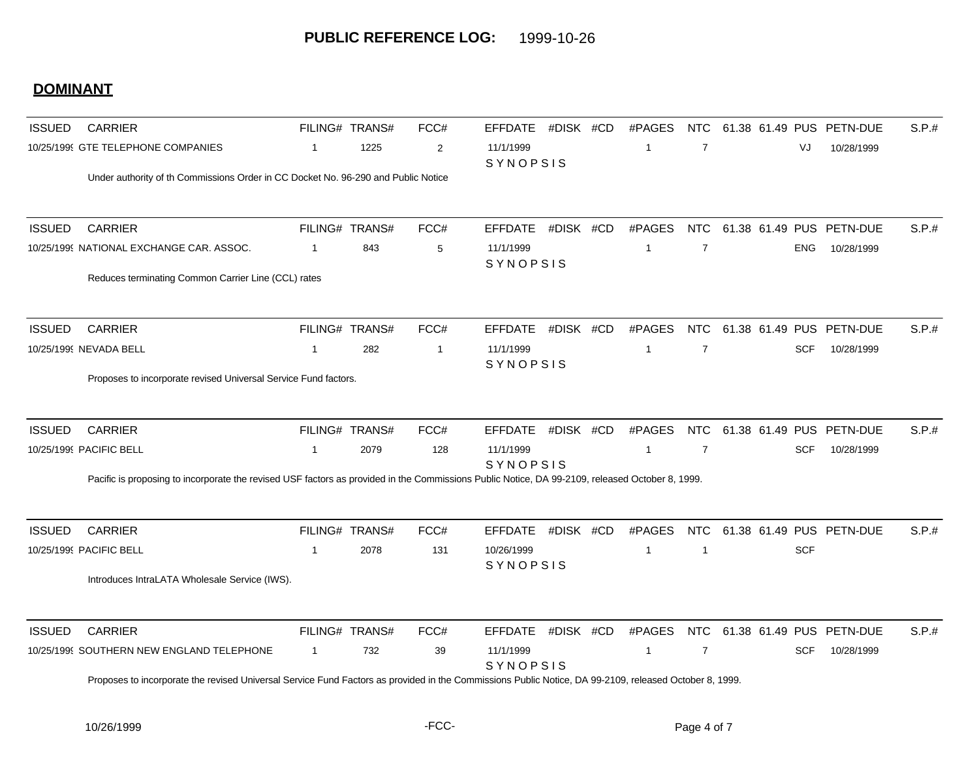| <b>ISSUED</b> | <b>CARRIER</b>                                                                                                                                         |                | FILING# TRANS# | FCC#           | <b>EFFDATE</b>        | #DISK #CD | #PAGES         | <b>NTC</b>     |  | 61.38 61.49 PUS PETN-DUE | S.P.# |
|---------------|--------------------------------------------------------------------------------------------------------------------------------------------------------|----------------|----------------|----------------|-----------------------|-----------|----------------|----------------|--|--------------------------|-------|
|               | 10/25/1999 GTE TELEPHONE COMPANIES                                                                                                                     | $\mathbf{1}$   | 1225           | $\overline{2}$ | 11/1/1999<br>SYNOPSIS |           | -1             | $\overline{7}$ |  | VJ<br>10/28/1999         |       |
|               | Under authority of th Commissions Order in CC Docket No. 96-290 and Public Notice                                                                      |                |                |                |                       |           |                |                |  |                          |       |
| <b>ISSUED</b> | <b>CARRIER</b>                                                                                                                                         |                | FILING# TRANS# | FCC#           | <b>EFFDATE</b>        | #DISK #CD | #PAGES         | <b>NTC</b>     |  | 61.38 61.49 PUS PETN-DUE | S.P.# |
|               | 10/25/1999 NATIONAL EXCHANGE CAR. ASSOC.                                                                                                               | $\overline{1}$ | 843            | 5              | 11/1/1999             |           | $\overline{1}$ | $\overline{7}$ |  | <b>ENG</b><br>10/28/1999 |       |
|               | Reduces terminating Common Carrier Line (CCL) rates                                                                                                    |                |                |                | SYNOPSIS              |           |                |                |  |                          |       |
| <b>ISSUED</b> | <b>CARRIER</b>                                                                                                                                         |                | FILING# TRANS# | FCC#           | <b>EFFDATE</b>        | #DISK #CD | #PAGES         | <b>NTC</b>     |  | 61.38 61.49 PUS PETN-DUE | S.P.# |
|               | 10/25/1999 NEVADA BELL                                                                                                                                 | $\mathbf{1}$   | 282            | $\overline{1}$ | 11/1/1999             |           | $\overline{1}$ | $\overline{7}$ |  | <b>SCF</b><br>10/28/1999 |       |
|               | Proposes to incorporate revised Universal Service Fund factors.                                                                                        |                |                |                | SYNOPSIS              |           |                |                |  |                          |       |
| <b>ISSUED</b> | <b>CARRIER</b>                                                                                                                                         |                | FILING# TRANS# | FCC#           | <b>EFFDATE</b>        | #DISK #CD | #PAGES         | <b>NTC</b>     |  | 61.38 61.49 PUS PETN-DUE | S.P.# |
|               | 10/25/1999 PACIFIC BELL                                                                                                                                | $\mathbf{1}$   | 2079           | 128            | 11/1/1999             |           | $\overline{1}$ | $\overline{7}$ |  | <b>SCF</b><br>10/28/1999 |       |
|               | Pacific is proposing to incorporate the revised USF factors as provided in the Commissions Public Notice, DA 99-2109, released October 8, 1999.        |                |                |                | SYNOPSIS              |           |                |                |  |                          |       |
| <b>ISSUED</b> | <b>CARRIER</b>                                                                                                                                         |                | FILING# TRANS# | FCC#           | <b>EFFDATE</b>        | #DISK #CD | #PAGES         | <b>NTC</b>     |  | 61.38 61.49 PUS PETN-DUE | S.P.# |
|               | 10/25/1999 PACIFIC BELL                                                                                                                                | $\mathbf{1}$   | 2078           | 131            | 10/26/1999            |           | $\overline{1}$ | $\overline{1}$ |  | <b>SCF</b>               |       |
|               | Introduces IntraLATA Wholesale Service (IWS).                                                                                                          |                |                |                | SYNOPSIS              |           |                |                |  |                          |       |
| <b>ISSUED</b> | <b>CARRIER</b>                                                                                                                                         |                | FILING# TRANS# | FCC#           | <b>EFFDATE</b>        | #DISK #CD | #PAGES         | <b>NTC</b>     |  | 61.38 61.49 PUS PETN-DUE | S.P.# |
|               | 10/25/1999 SOUTHERN NEW ENGLAND TELEPHONE                                                                                                              | $\mathbf{1}$   | 732            | 39             | 11/1/1999<br>SYNOPSIS |           | $\overline{1}$ | $\overline{7}$ |  | <b>SCF</b><br>10/28/1999 |       |
|               | Proposes to incorporate the revised Universal Service Fund Factors as provided in the Commissions Public Notice, DA 99-2109, released October 8, 1999. |                |                |                |                       |           |                |                |  |                          |       |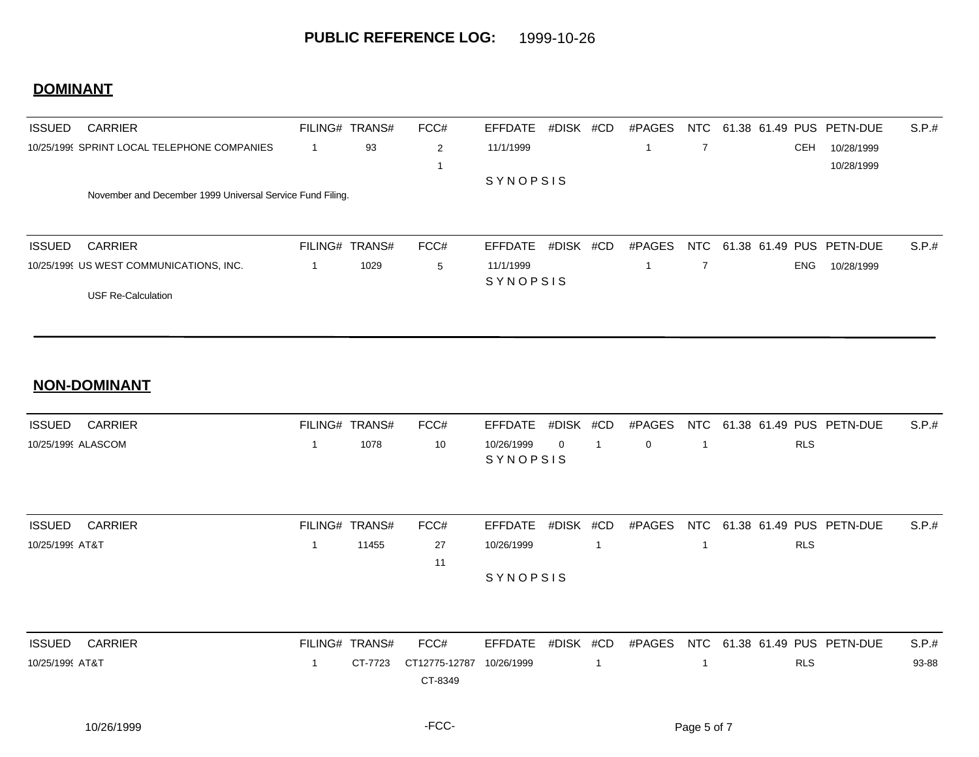| <b>ISSUED</b> | <b>CARRIER</b>                                            | FILING# TRANS# |      | FCC# | EFFDATE         | #DISK | #CD | #PAGES | NTC | 61.38 61.49 PUS PETN-DUE |            |                              | S.P.#  |
|---------------|-----------------------------------------------------------|----------------|------|------|-----------------|-------|-----|--------|-----|--------------------------|------------|------------------------------|--------|
|               | 10/25/1999 SPRINT LOCAL TELEPHONE COMPANIES               |                | 93   | 2    | 11/1/1999       |       |     |        |     |                          | <b>CEH</b> | 10/28/1999                   |        |
|               |                                                           |                |      |      |                 |       |     |        |     |                          |            | 10/28/1999                   |        |
|               |                                                           |                |      |      | <b>SYNOPSIS</b> |       |     |        |     |                          |            |                              |        |
|               | November and December 1999 Universal Service Fund Filing. |                |      |      |                 |       |     |        |     |                          |            |                              |        |
|               |                                                           |                |      |      |                 |       |     |        |     |                          |            |                              |        |
|               |                                                           |                |      |      |                 |       |     |        |     |                          |            |                              |        |
| <b>ISSUED</b> | <b>CARRIER</b>                                            | FILING# TRANS# |      | FCC# | EFFDATE         | #DISK | #CD | #PAGES |     |                          |            | NTC 61.38 61.49 PUS PETN-DUE | S.P.t. |
|               | 10/25/1999 US WEST COMMUNICATIONS, INC.                   |                | 1029 | 5    | 11/1/1999       |       |     |        |     |                          | <b>ENG</b> | 10/28/1999                   |        |
|               |                                                           |                |      |      | <b>SYNOPSIS</b> |       |     |        |     |                          |            |                              |        |
|               | <b>USF Re-Calculation</b>                                 |                |      |      |                 |       |     |        |     |                          |            |                              |        |

#### **NON-DOMINANT**

| ISSUED<br>CARRIER  | FILING# TRANS# |      | FCC# |                |  |     | EFFDATE #DISK #CD #PAGES NTC 61.38 61.49 PUS PETN-DUE | S.P.t. |
|--------------------|----------------|------|------|----------------|--|-----|-------------------------------------------------------|--------|
| 10/25/1999 ALASCOM |                | 1078 | 10   | 10/26/1999 0 1 |  | _ റ | <b>RLS</b>                                            |        |
|                    |                |      |      | SYNOPSIS       |  |     |                                                       |        |

| <b>ISSUED</b><br>CARRIER | FILING# TRANS# | FCC# |                 |  |  |            | EFFDATE #DISK #CD #PAGES NTC 61.38 61.49 PUS PETN-DUE | S.P.# |
|--------------------------|----------------|------|-----------------|--|--|------------|-------------------------------------------------------|-------|
| 10/25/1999 AT&T          | 11455          | 27   | 10/26/1999      |  |  | <b>RLS</b> |                                                       |       |
|                          |                |      |                 |  |  |            |                                                       |       |
|                          |                |      | <b>SYNOPSIS</b> |  |  |            |                                                       |       |

| <b>ISSUED</b><br>CARRIER | FILING# TRANS# | FCC#                             |  |  | EFFDATE #DISK #CD #PAGES NTC 61.38 61.49 PUS PETN-DUE | S.P.# |
|--------------------------|----------------|----------------------------------|--|--|-------------------------------------------------------|-------|
| 10/25/1999 AT&T          |                | CT-7723 CT12775-12787 10/26/1999 |  |  | <b>RLS</b>                                            | 93-88 |
|                          |                | CT-8349                          |  |  |                                                       |       |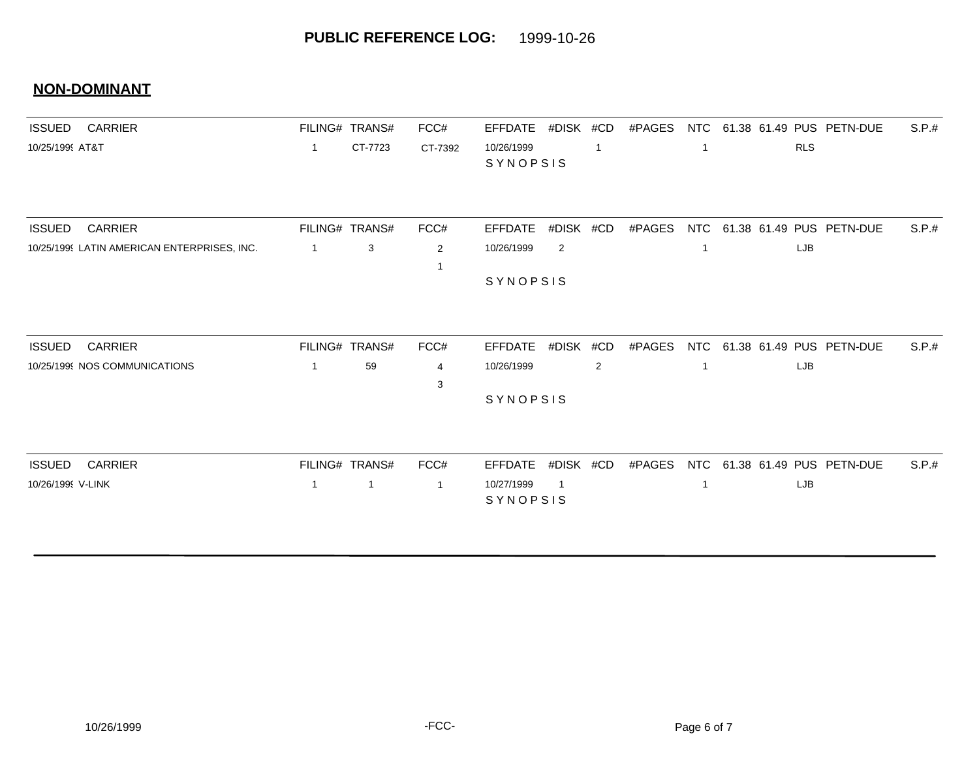#### **NON-DOMINANT**

| <b>ISSUED</b><br><b>CARRIER</b>             |              | FILING# TRANS# | FCC#           | <b>EFFDATE</b>         | #DISK #CD      |             | #PAGES | NTC        |     | 61.38 61.49 PUS PETN-DUE | S.P.# |
|---------------------------------------------|--------------|----------------|----------------|------------------------|----------------|-------------|--------|------------|-----|--------------------------|-------|
| 10/25/1999 AT&T                             | $\mathbf{1}$ | CT-7723        | CT-7392        | 10/26/1999<br>SYNOPSIS |                | $\mathbf 1$ |        |            | RLS |                          |       |
|                                             |              |                |                |                        |                |             |        |            |     |                          |       |
| <b>CARRIER</b><br><b>ISSUED</b>             |              | FILING# TRANS# | FCC#           | <b>EFFDATE</b>         | #DISK          | #CD         | #PAGES | NTC        |     | 61.38 61.49 PUS PETN-DUE | S.P.# |
| 10/25/1999 LATIN AMERICAN ENTERPRISES, INC. | $\mathbf{1}$ | 3              | 2              | 10/26/1999             | $\overline{2}$ |             |        |            | LJB |                          |       |
|                                             |              |                |                | SYNOPSIS               |                |             |        |            |     |                          |       |
| <b>CARRIER</b><br><b>ISSUED</b>             |              | FILING# TRANS# | FCC#           | <b>EFFDATE</b>         | #DISK #CD      |             | #PAGES | <b>NTC</b> |     | 61.38 61.49 PUS PETN-DUE | S.P.# |
| 10/25/1999 NOS COMMUNICATIONS               | $\mathbf 1$  | 59             | $\overline{4}$ | 10/26/1999             |                | 2           |        |            | LJB |                          |       |
|                                             |              |                | 3              | SYNOPSIS               |                |             |        |            |     |                          |       |
| <b>CARRIER</b><br><b>ISSUED</b>             |              | FILING# TRANS# | FCC#           | <b>EFFDATE</b>         | #DISK #CD      |             | #PAGES | NTC        |     | 61.38 61.49 PUS PETN-DUE | S.P.# |
| 10/26/1999 V-LINK                           | 1            | $\mathbf{1}$   | $\mathbf{1}$   | 10/27/1999<br>SYNOPSIS | $\mathbf{1}$   |             |        |            | LJB |                          |       |